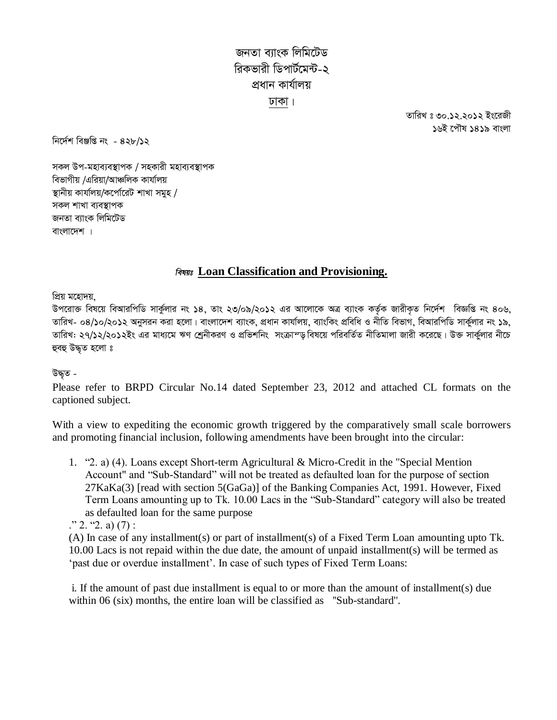*জ*নতা ব্যাংক লিমিটেড *ৱিকভাৱী ডিপাৰ্টমেন্ট-২ cÖavb Kvh©vjq XvKv|*

> *ZvwiL t 30.12.2012 Bs‡iRx* ১৬ই পৌষ ১৪১৯ বাংলা

*wb‡`©k weÄwß bs - 428/12*

*স*কল উপ-মহাব্যবস্থাপক / সহকারী মহাব্যবস্থাপক *বি*ভাগীয় /এরিয়া/আঞ্চলিক কার্যালয় *¯'vbxq Kvhv©jq/K‡cv©‡iU kvLv mgyn / mKj kvLv e¨e¯'vcK জনতা ব্যাংক লিমিটেড* বাংলাদেশ |

## **Loan Classification and Provisioning.**

*প্ৰিয় মহোদয়,* 

*Dc‡iv³ wel‡q weAviwcwW mvKz©jvi bs 14, Zvs 23/09/2012 Gi Av‡jv‡K AÎ e¨vsK KZ…©K RvixK…Z wb‡`©k weÁwß bs 406, ZvwiL- 04/10/2012 Abymib Kiv n‡jv| evsjv‡`k e¨vsK, cÖavb Kvhv©jq, e¨vswKs cÖwewa I bxwZ wefvM, weAviwcwW mvK©yjvi bs 19,*  তারিখ: ২৭/১২/২০১২ইং এর মাধ্যমে ঋণ শ্রেনীকরণ ও প্রভিশনিং সংক্রাম্ড বিষয়ে পরিবর্তিত নীতিমালা জারী করেছে। উক্ত সার্কুলার নীচে হুবহু উদ্ধৃত হলো ঃ

## *DׄZ -*

Please refer to BRPD Circular No.14 dated September 23, 2012 and attached CL formats on the captioned subject.

With a view to expediting the economic growth triggered by the comparatively small scale borrowers and promoting financial inclusion, following amendments have been brought into the circular:

1. "2. a) (4). Loans except Short-term Agricultural & Micro-Credit in the "Special Mention Account" and "Sub-Standard" will not be treated as defaulted loan for the purpose of section 27KaKa(3) [read with section 5(GaGa)] of the Banking Companies Act, 1991. However, Fixed Term Loans amounting up to Tk. 10.00 Lacs in the "Sub-Standard" category will also be treated as defaulted loan for the same purpose

 $\therefore$  2. "2. a) (7) :

(A) In case of any installment(s) or part of installment(s) of a Fixed Term Loan amounting upto Tk. 10.00 Lacs is not repaid within the due date, the amount of unpaid installment(s) will be termed as 'past due or overdue installment'. In case of such types of Fixed Term Loans:

i. If the amount of past due installment is equal to or more than the amount of installment(s) due within 06 (six) months, the entire loan will be classified as "Sub-standard".